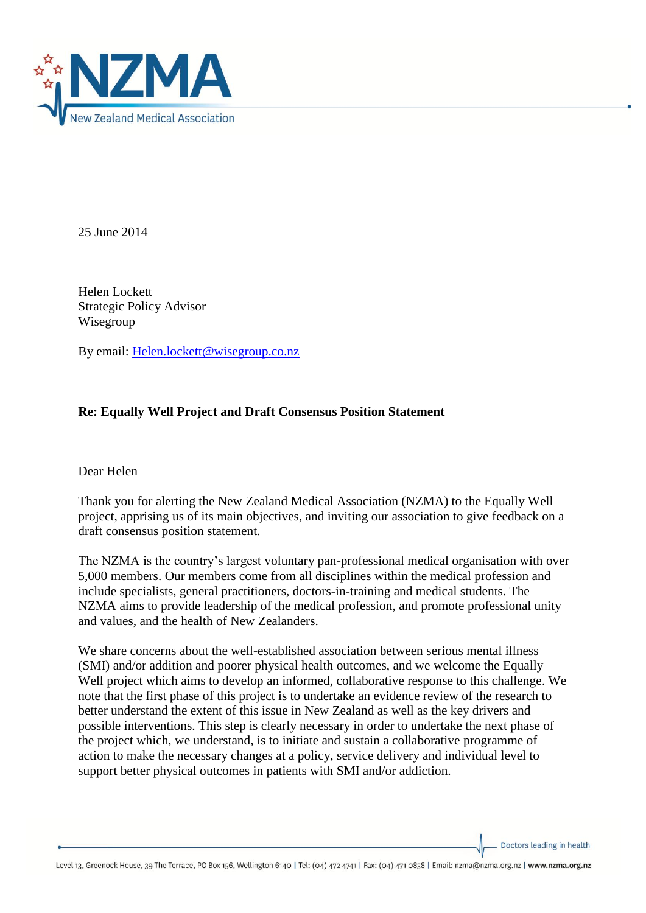

25 June 2014

Helen Lockett Strategic Policy Advisor Wisegroup

By email: [Helen.lockett@wisegroup.co.nz](mailto:Helen.lockett@wisegroup.co.nz)

## **Re: Equally Well Project and Draft Consensus Position Statement**

Dear Helen

Thank you for alerting the New Zealand Medical Association (NZMA) to the Equally Well project, apprising us of its main objectives, and inviting our association to give feedback on a draft consensus position statement.

The NZMA is the country's largest voluntary pan-professional medical organisation with over 5,000 members. Our members come from all disciplines within the medical profession and include specialists, general practitioners, doctors-in-training and medical students. The NZMA aims to provide leadership of the medical profession, and promote professional unity and values, and the health of New Zealanders.

We share concerns about the well-established association between serious mental illness (SMI) and/or addition and poorer physical health outcomes, and we welcome the Equally Well project which aims to develop an informed, collaborative response to this challenge. We note that the first phase of this project is to undertake an evidence review of the research to better understand the extent of this issue in New Zealand as well as the key drivers and possible interventions. This step is clearly necessary in order to undertake the next phase of the project which, we understand, is to initiate and sustain a collaborative programme of action to make the necessary changes at a policy, service delivery and individual level to support better physical outcomes in patients with SMI and/or addiction.

Doctors leading in health